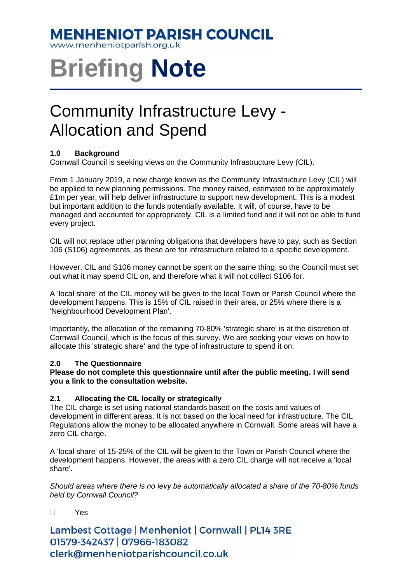### **MENHENIOT PARISH COUNCIL**

www.menheniotparish.org.uk

# **Briefing Note**

## Community Infrastructure Levy - Allocation and Spend

#### **1.0 Background**

Cornwall Council is seeking views on the Community Infrastructure Levy (CIL).

From 1 January 2019, a new charge known as the Community Infrastructure Levy (CIL) will be applied to new planning permissions. The money raised, estimated to be approximately £1m per year, will help deliver infrastructure to support new development. This is a modest but important addition to the funds potentially available. It will, of course, have to be managed and accounted for appropriately. CIL is a limited fund and it will not be able to fund every project.

CIL will not replace other planning obligations that developers have to pay, such as Section 106 (S106) agreements, as these are for infrastructure related to a specific development.

However, CIL and S106 money cannot be spent on the same thing, so the Council must set out what it may spend CIL on, and therefore what it will not collect S106 for.

A 'local share' of the CIL money will be given to the local Town or Parish Council where the development happens. This is 15% of CIL raised in their area, or 25% where there is a 'Neighbourhood Development Plan'.

Importantly, the allocation of the remaining 70-80% 'strategic share' is at the discretion of Cornwall Council, which is the focus of this survey. We are seeking your views on how to allocate this 'strategic share' and the type of infrastructure to spend it on.

#### **2.0 The Questionnaire**

**Please do not complete this questionnaire until after the public meeting. I will send you a link to the consultation website.** 

#### **2.1 Allocating the CIL locally or strategically**

The CIL charge is set using national standards based on the costs and values of development in different areas. It is not based on the local need for infrastructure. The CIL Regulations allow the money to be allocated anywhere in Cornwall. Some areas will have a zero CIL charge.

A 'local share' of 15-25% of the CIL will be given to the Town or Parish Council where the development happens. However, the areas with a zero CIL charge will not receive a 'local share'.

Should areas where there is no levy be automatically allocated a share of the 70-80% funds held by Cornwall Council?

Yes

Lambest Cottage | Menheniot | Cornwall | PL14 3RE 01579-342437 | 07966-183082 clerk@menheniotparishcouncil.co.uk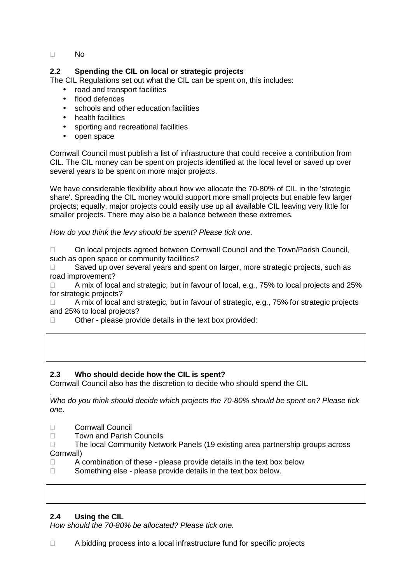No

#### **2.2 Spending the CIL on local or strategic projects**

The CIL Regulations set out what the CIL can be spent on, this includes:

- road and transport facilities
- flood defences
- schools and other education facilities
- health facilities
- sporting and recreational facilities
- open space

Cornwall Council must publish a list of infrastructure that could receive a contribution from CIL. The CIL money can be spent on projects identified at the local level or saved up over several years to be spent on more major projects.

We have considerable flexibility about how we allocate the 70-80% of CIL in the 'strategic share'. Spreading the CIL money would support more small projects but enable few larger projects; equally, major projects could easily use up all available CIL leaving very little for smaller projects. There may also be a balance between these extremes.

How do you think the levy should be spent? Please tick one.

 On local projects agreed between Cornwall Council and the Town/Parish Council, such as open space or community facilities?

 Saved up over several years and spent on larger, more strategic projects, such as road improvement?

 A mix of local and strategic, but in favour of local, e.g., 75% to local projects and 25% for strategic projects?

 A mix of local and strategic, but in favour of strategic, e.g., 75% for strategic projects and 25% to local projects?

Other - please provide details in the text box provided:

#### **2.3 Who should decide how the CIL is spent?**

Cornwall Council also has the discretion to decide who should spend the CIL

. Who do you think should decide which projects the 70-80% should be spent on? Please tick one.

Cornwall Council

Town and Parish Councils

 The local Community Network Panels (19 existing area partnership groups across Cornwall)

 A combination of these - please provide details in the text box below Something else - please provide details in the text box below.

#### **2.4 Using the CIL**

How should the 70-80% be allocated? Please tick one.

A bidding process into a local infrastructure fund for specific projects